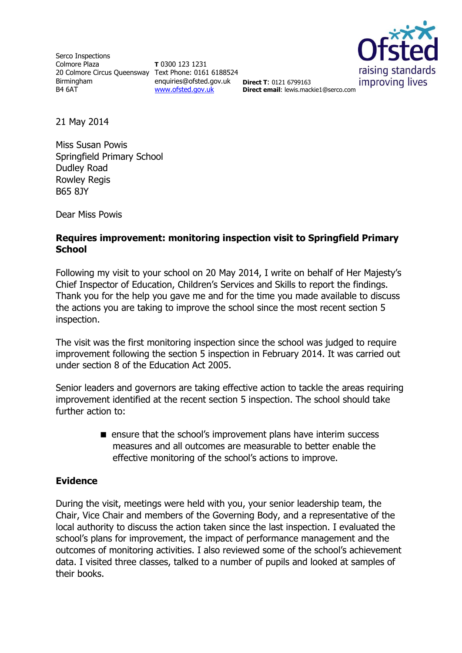Serco Inspections Colmore Plaza 20 Colmore Circus Queensway Text Phone: 0161 6188524 Birmingham B4 6AT

**T** 0300 123 1231 enquiries@ofsted.gov.uk **Direct T**: 0121 6799163 [www.ofsted.gov.uk](http://www.ofsted.gov.uk/)



**Direct email**: lewis.mackie1@serco.com

21 May 2014

Miss Susan Powis Springfield Primary School Dudley Road Rowley Regis B65 8JY

Dear Miss Powis

## **Requires improvement: monitoring inspection visit to Springfield Primary School**

Following my visit to your school on 20 May 2014, I write on behalf of Her Majesty's Chief Inspector of Education, Children's Services and Skills to report the findings. Thank you for the help you gave me and for the time you made available to discuss the actions you are taking to improve the school since the most recent section 5 inspection.

The visit was the first monitoring inspection since the school was judged to require improvement following the section 5 inspection in February 2014. It was carried out under section 8 of the Education Act 2005.

Senior leaders and governors are taking effective action to tackle the areas requiring improvement identified at the recent section 5 inspection. The school should take further action to:

> **E** ensure that the school's improvement plans have interim success measures and all outcomes are measurable to better enable the effective monitoring of the school's actions to improve.

## **Evidence**

During the visit, meetings were held with you, your senior leadership team, the Chair, Vice Chair and members of the Governing Body, and a representative of the local authority to discuss the action taken since the last inspection. I evaluated the school's plans for improvement, the impact of performance management and the outcomes of monitoring activities. I also reviewed some of the school's achievement data. I visited three classes, talked to a number of pupils and looked at samples of their books.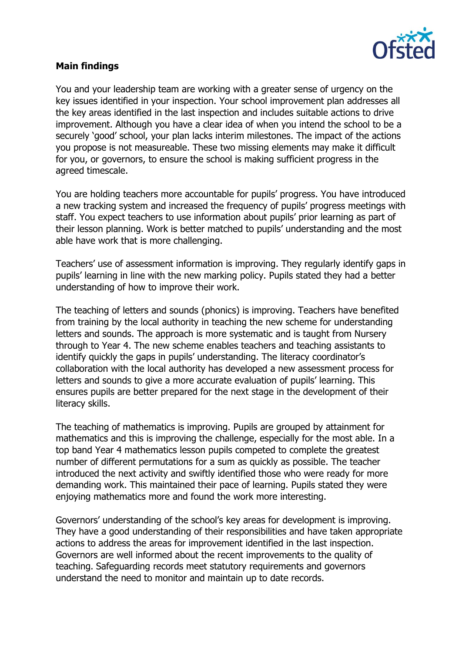

## **Main findings**

You and your leadership team are working with a greater sense of urgency on the key issues identified in your inspection. Your school improvement plan addresses all the key areas identified in the last inspection and includes suitable actions to drive improvement. Although you have a clear idea of when you intend the school to be a securely 'good' school, your plan lacks interim milestones. The impact of the actions you propose is not measureable. These two missing elements may make it difficult for you, or governors, to ensure the school is making sufficient progress in the agreed timescale.

You are holding teachers more accountable for pupils' progress. You have introduced a new tracking system and increased the frequency of pupils' progress meetings with staff. You expect teachers to use information about pupils' prior learning as part of their lesson planning. Work is better matched to pupils' understanding and the most able have work that is more challenging.

Teachers' use of assessment information is improving. They regularly identify gaps in pupils' learning in line with the new marking policy. Pupils stated they had a better understanding of how to improve their work.

The teaching of letters and sounds (phonics) is improving. Teachers have benefited from training by the local authority in teaching the new scheme for understanding letters and sounds. The approach is more systematic and is taught from Nursery through to Year 4. The new scheme enables teachers and teaching assistants to identify quickly the gaps in pupils' understanding. The literacy coordinator's collaboration with the local authority has developed a new assessment process for letters and sounds to give a more accurate evaluation of pupils' learning. This ensures pupils are better prepared for the next stage in the development of their literacy skills.

The teaching of mathematics is improving. Pupils are grouped by attainment for mathematics and this is improving the challenge, especially for the most able. In a top band Year 4 mathematics lesson pupils competed to complete the greatest number of different permutations for a sum as quickly as possible. The teacher introduced the next activity and swiftly identified those who were ready for more demanding work. This maintained their pace of learning. Pupils stated they were enjoying mathematics more and found the work more interesting.

Governors' understanding of the school's key areas for development is improving. They have a good understanding of their responsibilities and have taken appropriate actions to address the areas for improvement identified in the last inspection. Governors are well informed about the recent improvements to the quality of teaching. Safeguarding records meet statutory requirements and governors understand the need to monitor and maintain up to date records.